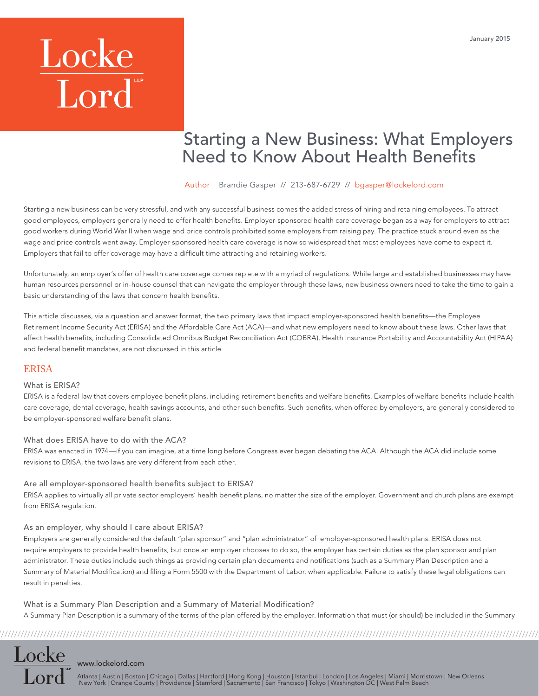# Locke<br>Lord

### Starting a New Business: What Employers **Need to Know About Health Benefits**

Author [Brandie Gasper](http://www.lockelord.com/professionals/g/gasper-brandie) // 213-687-6729 // bgasper@lockelord.com

Starting a new business can be very stressful, and with any successful business comes the added stress of hiring and retaining employees. To attract good employees, employers generally need to offer health benefits. Employer-sponsored health care coverage began as a way for employers to attract good workers during World War II when wage and price controls prohibited some employers from raising pay. The practice stuck around even as the wage and price controls went away. Employer-sponsored health care coverage is now so widespread that most employees have come to expect it. Employers that fail to offer coverage may have a difficult time attracting and retaining workers.

Unfortunately, an employer's offer of health care coverage comes replete with a myriad of regulations. While large and established businesses may have human resources personnel or in-house counsel that can navigate the employer through these laws, new business owners need to take the time to gain a basic understanding of the laws that concern health benefits.

This article discusses, via a question and answer format, the two primary laws that impact employer-sponsored health benefits—the Employee Retirement Income Security Act (ERISA) and the Affordable Care Act (ACA)—and what new employers need to know about these laws. Other laws that affect health benefits, including Consolidated Omnibus Budget Reconciliation Act (COBRA), Health Insurance Portability and Accountability Act (HIPAA) and federal benefit mandates, are not discussed in this article.

#### ERISA

Locke

#### What is ERISA?

ERISA is a federal law that covers employee benefit plans, including retirement benefits and welfare benefits. Examples of welfare benefits include health care coverage, dental coverage, health savings accounts, and other such benefits. Such benefits, when offered by employers, are generally considered to be employer-sponsored welfare benefit plans.

#### What does ERISA have to do with the ACA?

ERISA was enacted in 1974—if you can imagine, at a time long before Congress ever began debating the ACA. Although the ACA did include some revisions to ERISA, the two laws are very different from each other.

#### Are all employer-sponsored health benefits subject to ERISA?

ERISA applies to virtually all private sector employers' health benefit plans, no matter the size of the employer. Government and church plans are exempt from ERISA regulation.

#### As an employer, why should I care about ERISA?

Employers are generally considered the default "plan sponsor" and "plan administrator" of employer-sponsored health plans. ERISA does not require employers to provide health benefits, but once an employer chooses to do so, the employer has certain duties as the plan sponsor and plan administrator. These duties include such things as providing certain plan documents and notifications (such as a Summary Plan Description and a Summary of Material Modification) and filing a Form 5500 with the Department of Labor, when applicable. Failure to satisfy these legal obligations can result in penalties.

What is a Summary Plan Description and a Summary of Material Modification? A Summary Plan Description is a summary of the terms of the plan offered by the employer. Information that must (or should) be included in the Summary

////////////////////////////////////////////////////////////////////////////////////////////////////////////////////////////////////////////////////////////////////////////////

#### <www.lockelord.com>

Atlanta | Austin | Boston | Chicago | Dallas | Hartford | Hong Kong | Houston | Istanbul | London | Los Angeles | Miami | Morristown | New Orleans<br>New York | Orange County | Providence | Stamford | Sacramento | San Francis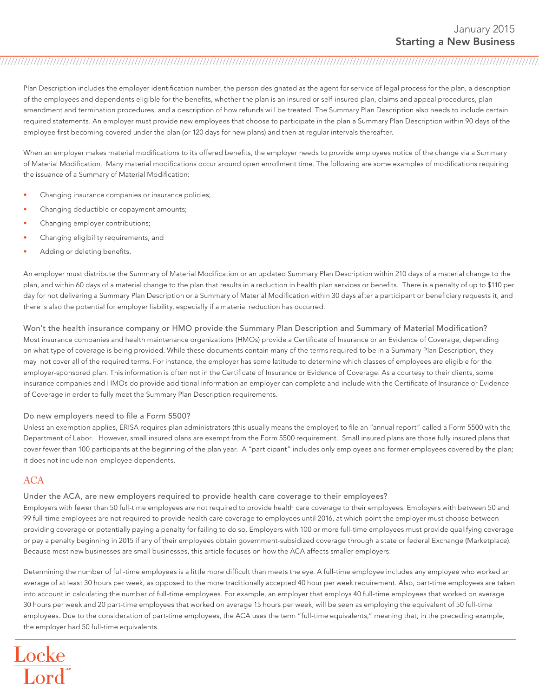Plan Description includes the employer identification number, the person designated as the agent for service of legal process for the plan, a description of the employees and dependents eligible for the benefits, whether the plan is an insured or self-insured plan, claims and appeal procedures, plan amendment and termination procedures, and a description of how refunds will be treated. The Summary Plan Description also needs to include certain required statements. An employer must provide new employees that choose to participate in the plan a Summary Plan Description within 90 days of the employee first becoming covered under the plan (or 120 days for new plans) and then at regular intervals thereafter.

////////////////////////////////////////////////////////////////////////////////////////////////////////////////////////////////////////////////////////////////////////////////

When an employer makes material modifications to its offered benefits, the employer needs to provide employees notice of the change via a Summary of Material Modification. Many material modifications occur around open enrollment time. The following are some examples of modifications requiring the issuance of a Summary of Material Modification:

- Changing insurance companies or insurance policies;
- Changing deductible or copayment amounts;
- Changing employer contributions;
- Changing eligibility requirements; and
- Adding or deleting benefits.

An employer must distribute the Summary of Material Modification or an updated Summary Plan Description within 210 days of a material change to the plan, and within 60 days of a material change to the plan that results in a reduction in health plan services or benefits. There is a penalty of up to \$110 per day for not delivering a Summary Plan Description or a Summary of Material Modification within 30 days after a participant or beneficiary requests it, and there is also the potential for employer liability, especially if a material reduction has occurred.

Won't the health insurance company or HMO provide the Summary Plan Description and Summary of Material Modification? Most insurance companies and health maintenance organizations (HMOs) provide a Certificate of Insurance or an Evidence of Coverage, depending on what type of coverage is being provided. While these documents contain many of the terms required to be in a Summary Plan Description, they may not cover all of the required terms. For instance, the employer has some latitude to determine which classes of employees are eligible for the employer-sponsored plan. This information is often not in the Certificate of Insurance or Evidence of Coverage. As a courtesy to their clients, some insurance companies and HMOs do provide additional information an employer can complete and include with the Certificate of Insurance or Evidence of Coverage in order to fully meet the Summary Plan Description requirements.

#### Do new employers need to file a Form 5500?

Unless an exemption applies, ERISA requires plan administrators (this usually means the employer) to file an "annual report" called a Form 5500 with the Department of Labor. However, small insured plans are exempt from the Form 5500 requirement. Small insured plans are those fully insured plans that cover fewer than 100 participants at the beginning of the plan year. A "participant" includes only employees and former employees covered by the plan; it does not include non-employee dependents.

#### ACA

#### Under the ACA, are new employers required to provide health care coverage to their employees?

Employers with fewer than 50 full-time employees are not required to provide health care coverage to their employees. Employers with between 50 and 99 full-time employees are not required to provide health care coverage to employees until 2016, at which point the employer must choose between providing coverage or potentially paying a penalty for failing to do so. Employers with 100 or more full-time employees must provide qualifying coverage or pay a penalty beginning in 2015 if any of their employees obtain government-subsidized coverage through a state or federal Exchange (Marketplace). Because most new businesses are small businesses, this article focuses on how the ACA affects smaller employers.

Determining the number of full-time employees is a little more difficult than meets the eye. A full-time employee includes any employee who worked an average of at least 30 hours per week, as opposed to the more traditionally accepted 40 hour per week requirement. Also, part-time employees are taken into account in calculating the number of full-time employees. For example, an employer that employs 40 full-time employees that worked on average 30 hours per week and 20 part-time employees that worked on average 15 hours per week, will be seen as employing the equivalent of 50 full-time employees. Due to the consideration of part-time employees, the ACA uses the term "full-time equivalents," meaning that, in the preceding example, the employer had 50 full-time equivalents.

## $\frac{\text{Locke}}{\text{Lord}^*}$